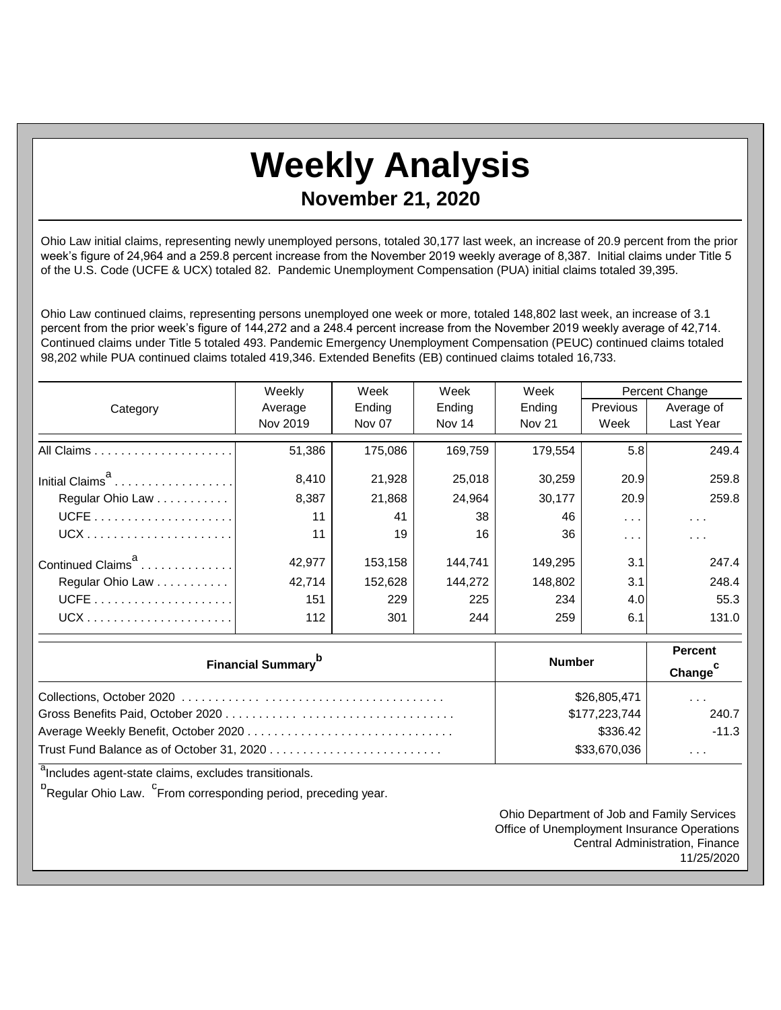## **Weekly Analysis**

## **November 21, 2020**

Ohio Law initial claims, representing newly unemployed persons, totaled 30,177 last week, an increase of 20.9 percent from the prior week's figure of 24,964 and a 259.8 percent increase from the November 2019 weekly average of 8,387. Initial claims under Title 5 of the U.S. Code (UCFE & UCX) totaled 82. Pandemic Unemployment Compensation (PUA) initial claims totaled 39,395.

Ohio Law continued claims, representing persons unemployed one week or more, totaled 148,802 last week, an increase of 3.1 percent from the prior week's figure of 144,272 and a 248.4 percent increase from the November 2019 weekly average of 42,714. Continued claims under Title 5 totaled 493. Pandemic Emergency Unemployment Compensation (PEUC) continued claims totaled 98,202 while PUA continued claims totaled 419,346. Extended Benefits (EB) continued claims totaled 16,733.

|                               | Weekly   | Week    | Week    | Week          | Percent Change       |                      |
|-------------------------------|----------|---------|---------|---------------|----------------------|----------------------|
| Category                      | Average  | Ending  | Ending  | Ending        | Previous             | Average of           |
|                               | Nov 2019 | Nov 07  | Nov 14  | <b>Nov 21</b> | Week                 | Last Year            |
|                               | 51,386   | 175.086 | 169.759 | 179.554       | 5.8                  | 249.4                |
| Initial Claims <sup>a</sup>   | 8,410    | 21,928  | 25,018  | 30,259        | 20.9                 | 259.8                |
| Regular Ohio Law              | 8,387    | 21,868  | 24,964  | 30,177        | 20.9                 | 259.8                |
|                               | 11       | 41      | 38      | 46            | $\sim$ $\sim$ $\sim$ | $\cdots$             |
|                               | 11       | 19      | 16      | 36            | $\cdots$             | $\sim$ $\sim$ $\sim$ |
| Continued Claims <sup>a</sup> | 42,977   | 153,158 | 144,741 | 149,295       | 3.1                  | 247.4                |
| Regular Ohio Law              | 42.714   | 152.628 | 144.272 | 148.802       | 3.1                  | 248.4                |
|                               | 151      | 229     | 225     | 234           | 4.0                  | 55.3                 |
| $UCX$                         | 112      | 301     | 244     | 259           | 6.1                  | 131.0                |

| <b>Financial Summary</b> <sup>b</sup> | <b>Number</b> | <b>Percent</b><br>Change <sup>C</sup> |
|---------------------------------------|---------------|---------------------------------------|
|                                       | \$26,805,471  | $\cdots$                              |
|                                       | \$177,223,744 | 240.7                                 |
|                                       | \$336.42      | $-11.3$                               |
|                                       | \$33,670,036  | $\cdots$                              |

<sup>a</sup>Includes agent-state claims, excludes transitionals.

<sup>b</sup>Regular Ohio Law. <sup>C</sup>From corresponding period, preceding year.

Ohio Department of Job and Family Services Office of Unemployment Insurance Operations Central Administration, Finance 11/25/2020